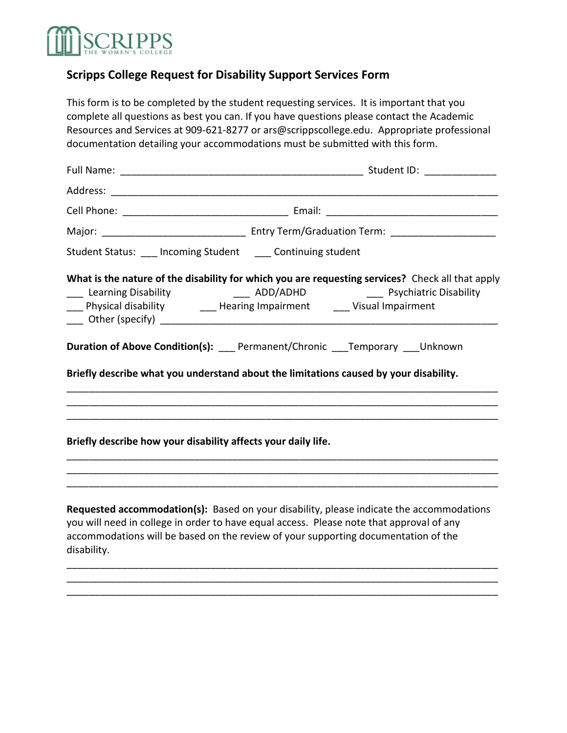## **RIPPS**

## **Scripps College Request for Disability Support Services Form**

This form is to be completed by the student requesting services. It is important that you complete all questions as best you can. If you have questions please contact the Academic Resources and Services at 909-621-8277 or ars@scrippscollege.edu. Appropriate professional documentation detailing your accommodations must be submitted with this form.

| Student Status: ___ Incoming Student ____ Continuing student  |                                                                                                                                                                                                                                                                                                                                      |  |
|---------------------------------------------------------------|--------------------------------------------------------------------------------------------------------------------------------------------------------------------------------------------------------------------------------------------------------------------------------------------------------------------------------------|--|
|                                                               | What is the nature of the disability for which you are requesting services? Check all that apply<br>Learning Disability <b>Constant Construct Constructs</b> Learning Disability <b>Constructs</b> ADD/ADHD <b>Constructs</b> Psychiatric Disability<br>___ Physical disability ________ Hearing Impairment ______ Visual Impairment |  |
|                                                               | Duration of Above Condition(s): ___ Permanent/Chronic ___Temporary ___Unknown                                                                                                                                                                                                                                                        |  |
|                                                               | Briefly describe what you understand about the limitations caused by your disability.                                                                                                                                                                                                                                                |  |
| Briefly describe how your disability affects your daily life. |                                                                                                                                                                                                                                                                                                                                      |  |
|                                                               | Requested accommodation(s): Based on your disability, please indicate the accommodations<br>you will need in college in order to have equal access. Please note that approval of any                                                                                                                                                 |  |

accommodations will be based on the review of your supporting documentation of the disability.

\_\_\_\_\_\_\_\_\_\_\_\_\_\_\_\_\_\_\_\_\_\_\_\_\_\_\_\_\_\_\_\_\_\_\_\_\_\_\_\_\_\_\_\_\_\_\_\_\_\_\_\_\_\_\_\_\_\_\_\_\_\_\_\_\_\_\_\_\_\_\_\_\_\_\_\_\_\_ \_\_\_\_\_\_\_\_\_\_\_\_\_\_\_\_\_\_\_\_\_\_\_\_\_\_\_\_\_\_\_\_\_\_\_\_\_\_\_\_\_\_\_\_\_\_\_\_\_\_\_\_\_\_\_\_\_\_\_\_\_\_\_\_\_\_\_\_\_\_\_\_\_\_\_\_\_\_ \_\_\_\_\_\_\_\_\_\_\_\_\_\_\_\_\_\_\_\_\_\_\_\_\_\_\_\_\_\_\_\_\_\_\_\_\_\_\_\_\_\_\_\_\_\_\_\_\_\_\_\_\_\_\_\_\_\_\_\_\_\_\_\_\_\_\_\_\_\_\_\_\_\_\_\_\_\_